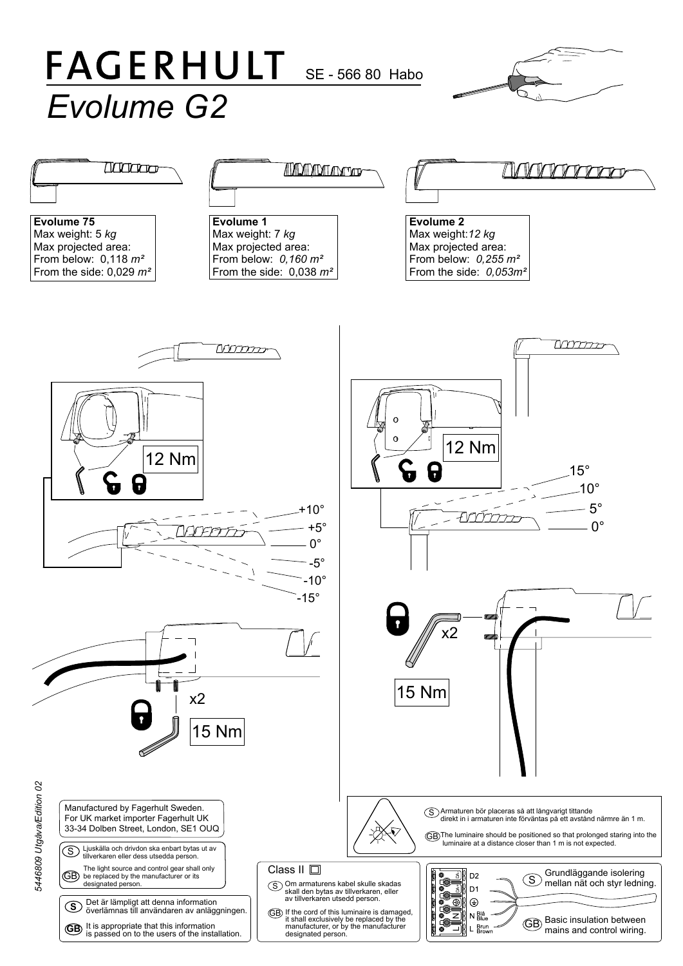## **FAGERHULT** SE - 566 80 Habo *Evolume G2*